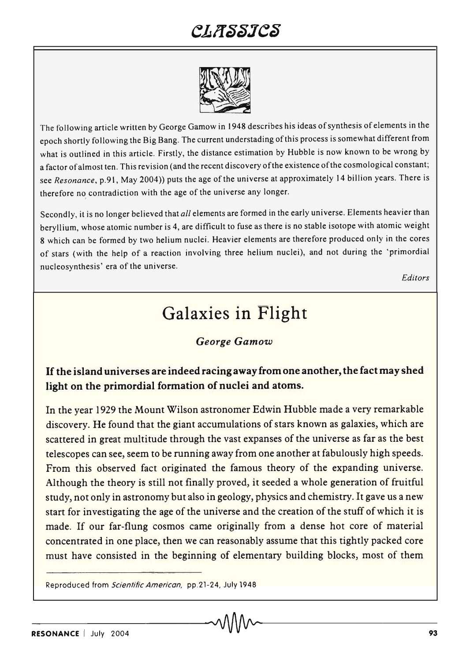

The following article written by George Gamow in 1948 describes his ideas of synthesis of elements in the epoch shortly following the Big Bang. The current understading of this process is somewhat different from what is outlined in this article. Firstly, the distance estimation by Hubble is now known to be wrong by a factor of almost ten. This revision (and the recent discovery of the existence ofthe cosmological constant; see *Resonance*, p.91, May 2004)) puts the age of the universe at approximately 14 billion years. There is therefore no contradiction with the age of the universe any longer.

Secondly, it is no longer believed that *all* elements are formed in the early universe. Elements heavier than beryllium, whose atomic number is 4, are difficult to fuse as there is no stable isotope with atomic weight 8 which can be formed by two helium nuclei. Heavier elements are therefore produced only in the cores of stars (with the help of a reaction involving three helium nuclei), and not during the 'primordial nucleosynthesis' era of the universe.

*Editors* 

# Galaxies in Flight

### *George Gamow*

### If the island universes are indeed racing away from one another, the fact may shed light on the primordial formation of nuclei and atoms.

In the year 1929 the Mount Wilson astronomer Edwin Hubble made a very remarkable discovery. He found that the giant accumulations of stars known as galaxies, which are scattered in great multitude through the vast expanses of the universe as far as the best telescopes can see, seem to be running away from one another at fabulously high speeds. From this observed fact originated the famous theory of the expanding universe. Although the theory is still not finally proved, it seeded a whole generation of fruitful study, not only in astronomy but also in geology, physics and chemistry. It gave us a new start for investigating the age of the universe and the creation of the stuff of which it is made. If our far-flung cosmos came originally from a dense hot core of material concentrated in one place, then we can reasonably assume that this tightly packed core must have consisted in the beginning of elementary building blocks, most of them

Reproduced from Scientific American, pp.21-24, July 1948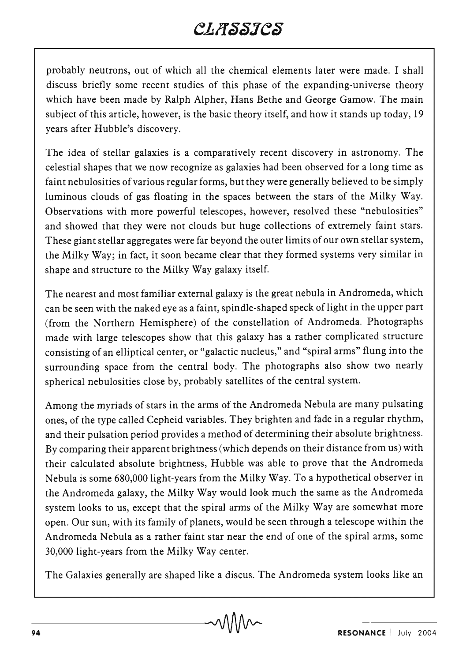probably neutrons, out of which all the chemical elements later were made. I shall discuss briefly some recent studies of this phase of the expanding-universe theory which have been made by Ralph Alpher, Hans Bethe and George Gamow. The main subject of this article, however, is the basic theory itself, and how it stands up today, 19 years after Hubble's discovery.

The idea of stellar galaxies is a comparatively recent discovery in astronomy. The celestial shapes that we now recognize as galaxies had been observed for a long time as faint nebulosities of various regular forms, but they were generally believed to be simply luminous clouds of gas floating in the spaces between the stars of the Milky Way. Observations with more powerful telescopes, however, resolved these "nebulosities" and showed that they were not clouds but huge collections of extremely faint stars. These giant stellar aggregates were far beyond the outer limits of our own stellar system, the Milky Way; in fact, it soon became clear that they formed systems very similar in shape and structure to the Milky Way galaxy itself.

The nearest and most familiar external galaxy is the great nebula in Andromeda, which can be seen with the naked eye as a faint, spindle-shaped speck of light in the upper part (from the Northern Hemisphere) of the constellation of Andromeda. Photographs made with large telescopes show that this galaxy has a rather complicated structure consisting of an elliptical center, or "galactic nucleus," and "spiral arms" flung into the surrounding space from the central body. The photographs also show two nearly spherical nebulosities close by, probably satellites of the central system.

Among the myriads of stars in the arms of the Andromeda Nebula are many pulsating ones, of the type called Cepheid variables. They brighten and fade in a regular rhythm, and their pulsation period provides a method of determining their absolute brightness. By comparing their apparent brightness (which depends on their distance from us) with their calculated absolute brightness, Hubble was able to prove that the Andromeda Nebula is some 680,000 light-years from the Milky Way. To a hypothetical observer in the Andromeda galaxy, the Milky Way would look much the same as the Andromeda system looks to us, except that the spiral arms of the Milky Way are somewhat more open. Our sun, with its family of planets, would be seen through a telescope within the Andromeda Nebula as a rather faint star near the end of one of the spiral arms, some 30,000 light-years from the Milky Way center.

The Galaxies generally are shaped like a discus. The Andromeda system looks like an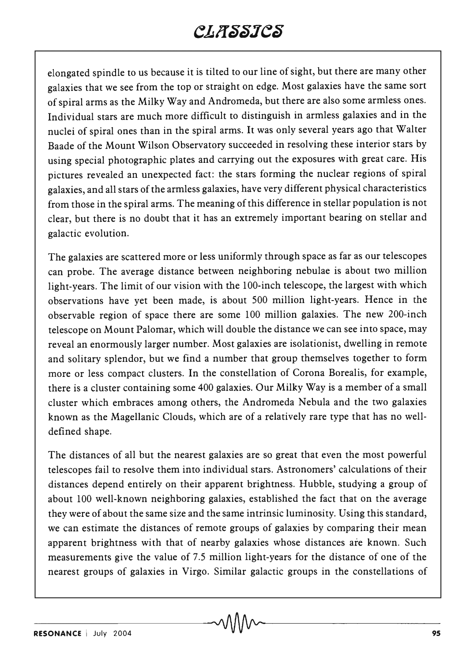elongated spindle to us because it is tilted to our line of sight, but there are many other galaxies that we see from the top or straight on edge. Most galaxies have the same sort of spiral arms as the Milky Way and Andromeda, but there are also some armless ones. Individual stars are much more difficult to distinguish in armless galaxies and in the nuclei of spiral ones than in the spiral arms. It was only several years ago that Walter Baade of the Mount Wilson Observatory succeeded in resolving these interior stars by using special photographic plates and carrying out the exposures with great care. His pictures revealed an unexpected fact: the stars forming the nuclear regions of spiral galaxies, and all stars of the armless galaxies, have very different physical characteristics from those in the spiral arms. The meaning of this difference in stellar population is not clear, but there is no doubt that it has an extremely important bearing on stellar and galactic evolution.

The galaxies are scattered more or less uniformly through space as far as our telescopes can probe. The average distance between neighboring nebulae is about two million light-years. The limit of our vision with the 100-inch telescope, the largest with which observations have yet been made, is about 500 million light-years. Hence in the observable region of space there are some 100 million galaxies. The new 200-inch telescope on Mount Palomar, which will double the distance we can see into space, may reveal an enormously larger number. Most galaxies are isolationist, dwelling in remote and solitary splendor, but we find a number that group themselves together to form more or less compact clusters. **In** the constellation of Corona Borealis, for example, there is a cluster containing some 400 galaxies. Our Milky Way is a member of a small cluster which embraces among others, the Andromeda Nebula and the two galaxies known as the Magellanic Clouds, which are of a relatively rare type that has no welldefined shape.

The distances of all but the nearest galaxies are so great that even the most powerful telescopes fail to resolve them into individual stars. Astronomers' calculations of their distances depend entirely on their apparent brightness. Hubble, studying a group of about 100 well-known neighboring galaxies, established the fact that on the average they were of about the same size and the same intrinsic luminosity. Using this standard, we can estimate the distances of remote groups of galaxies by comparing their mean apparent brightness with that of nearby galaxies whose distances are known. Such measurements give the value of 7.5 million light-years for the distance of one of the nearest groups of galaxies in Virgo. Similar galactic groups in the constellations of

 $\sim$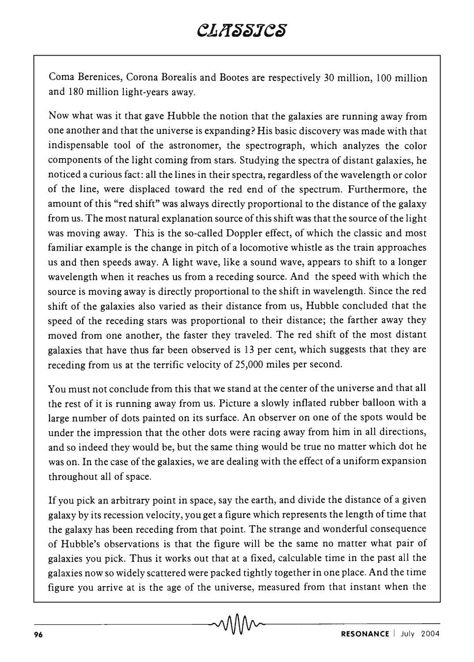Coma Berenices, Corona Borealis and Bootes are respectively 30 million, 100 million and 180 million light-years away.

Now what was it that gave Hubble the notion that the galaxies are running away from one another and that the universe is expanding? His basic discovery was made with that indispensable tool of the astronomer, the spectrograph, which analyzes the color components of the light coming from stars. Studying the spectra of distant galaxies, he noticed a curious fact: all the lines in their spectra, regardless of the wavelength or color of the line, were displaced toward the red end of the spectrum. Furthermore, the amount of this "red shift" was always directly proportional to the distance of the galaxy from us. The most natural explanation source of this shift was that the source of the light was moving away. This is the so-called Doppler effect, of which the classic and most familiar example is the change in pitch of a locomotive whistle as the train approaches us and then speeds away. A light wave, like a sound wave, appears to shift to a longer wavelength when it reaches us from a receding source. And the speed with which the source is moving away is directly proportional to the shift in wavelength. Since the red shift of the galaxies also varied as their distance from us, Hubble concluded that the speed of the receding stars was proportional to their distance; the farther away they moved from one another, the faster they traveled. The red shift of the most distant galaxies that have thus far been observed is 13 per cent, which suggests that they are receding from us at the terrific velocity of 25,000 miles per second.

You must not conclude from this that we stand at the center of the universe and that all the rest of it is running away from us. Picture a slowly inflated rubber balloon with a large number of dots painted on its surface. An observer on one of the spots would be under the impression that the other dots were racing away from him in all directions, and so indeed they would be, but the same thing would be true no matter which dot he was on. In the case of the galaxies, we are dealing with the effect of a uniform expansion throughout all of space.

If you pick an arbitrary point in space, say the earth, and divide the distance of a given galaxy by its recession velocity, you get a figure which represents the length of time that the galaxy has been receding from that point. The strange and wonderful consequence of Hubble's observations is that the figure will be the same no matter what pair of galaxies you pick. Thus it works out that at a fixed, calculable time in the past all the galaxies now so widely scattered were packed tightly together in one place. And the time figure you arrive at is the age of the universe, measured from that instant when the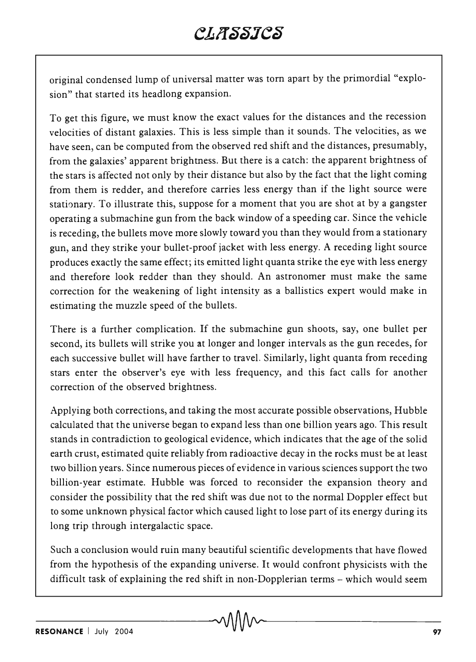original condensed lump of universal matter was torn apart by the primordial "explosion" that started its headlong expansion.

To get this figure, we must know the exact values for the distances and the recession velocities of distant galaxies. This is less simple than it sounds. The velocities, as we have seen, can be computed from the observed red shift and the distances, presumably, from the galaxies' apparent brightness. But there is a catch: the apparent brightness of the stars is affected not only by their distance but also by the fact that the light coming from them is redder, and therefore carries less energy than if the light source were stationary. To illustrate this, suppose for a moment that you are shot at by a gangster operating a submachine gun from the back window of a speeding car. Since the vehicle is receding, the bullets move more slowly toward you than they would from a stationary gun, and they strike your bullet-proof jacket with less energy. A receding light source produces exactly the same effect; its emitted light quanta strike the eye with less energy and therefore look redder than they should. An astronomer must make the same correction for the weakening of light intensity as a ballistics expert would make in estimating the muzzle speed of the bullets.

There is a further complication. If the submachine gun shoots, say, one bullet per second, its bullets will strike you at longer and longer intervals as the gun recedes, for each successive bullet will have farther to travel. Similarly, light quanta from receding stars enter the observer's eye with less frequency, and this fact calls for another correction of the observed brightness.

Applying both corrections, and taking the most accurate possible observations, Hubble calculated that the universe began to expand less than one billion years ago. This result stands in contradiction to geological evidence, which indicates that the age of the solid earth crust, estimated quite reliably from radioactive decay in the rocks must be at least two billion years. Since numerous pieces of evidence in various sciences support the two billion-year estimate. Hubble was forced to reconsider the expansion theory and consider the possibility that the red shift was due not to the normal Doppler effect but to some unknown physical factor which caused light to lose part of its energy during its long trip through intergalactic space.

Such a conclusion would ruin many beautiful scientific developments that have flowed from the hypothesis of the expanding universe. It would confront physicists with the difficult task of explaining the red shift in non-Dopplerian terms - which would seem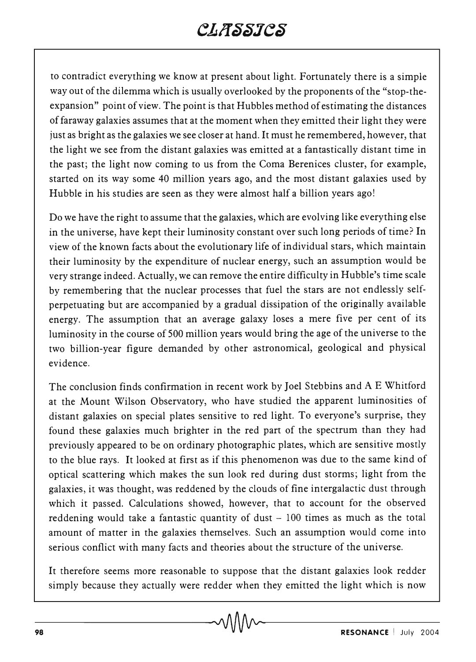to contradict everything we know at present about light. Fortunately there is a simple way out of the dilemma which is usually overlooked by the proponents of the "stop-theexpansion" point of view. The point is that Hubbles method of estimating the distances of faraway galaxies assumes that at the moment when they emitted their light they were just as bright as the galaxies we see closer at hand. It must he remembered, however, that the light we see from the distant galaxies was emitted at a fantastically distant time in the past; the light now coming to us from the Coma Berenices cluster, for example, started on its way some 40 million years ago, and the most distant galaxies used by Hubble in his studies are seen as they were almost half a billion years ago!

Do we have the right to assume that the galaxies, which are evolving like everything else in the universe, have kept their luminosity constant over such long periods of time? In view of the known facts about the evolutionary life of individual stars, which maintain their luminosity by the expenditure of nuclear energy, such an assumption would be very strange indeed. Actually, we can remove the entire difficulty in Hubble's time scale by remembering that the nuclear processes that fuel the stars are not endlessly selfperpetuating but are accompanied by a gradual dissipation of the originally available energy. The assumption that an average galaxy loses a mere five per cent of its luminosity in the course of 500 million years would bring the age of the universe to the two billion-year figure demanded by other astronomical, geological and physical evidence.

The conclusion finds confirmation in recent work by Joel Stebbins and A E Whitford at the Mount Wilson Observatory, who have studied the apparent luminosities of distant galaxies on special plates sensitive to red light. To everyone's surprise, they found these galaxies much brighter in the red part of the spectrum than they had previously appeared to be on ordinary photographic plates, which are sensitive mostly to the blue rays. It looked at first as if this phenomenon was due to the same kind of optical scattering which makes the sun look red during dust storms; light from the galaxies, it was thought, was reddened by the clouds of fine intergalactic dust through which it passed. Calculations showed, however, that to account for the observed reddening would take a fantastic quantity of dust  $-100$  times as much as the total amount of matter in the galaxies themselves. Such an assumption would come into serious conflict with many facts and theories about the structure of the universe.

It therefore seems more reasonable to suppose that the distant galaxies look redder simply because they actually were redder when they emitted the light which is now simply because they actually were redder when they emitted the light which is now<br>
<br> **WAN**<br> **RESONANCE** I July 2004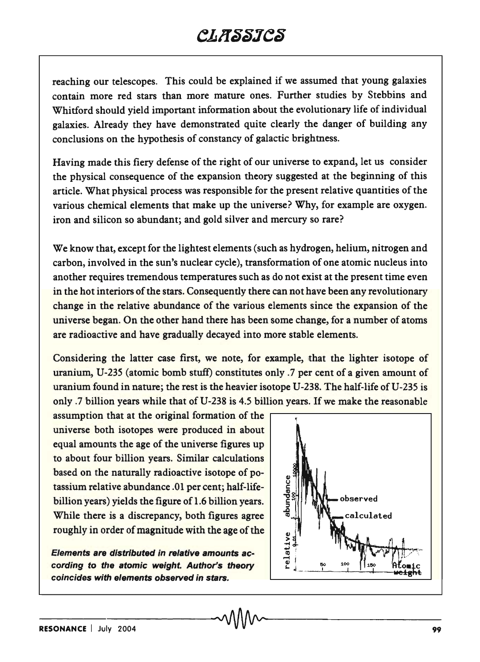reaching our telescopes. This could be explained if we assumed that young galaxies contain more red stars than more mature ones. Further studies by Stebbins and Whitford should yield important information about the evolutionary life of individual galaxies. Already they have demonstrated quite clearly the danger of building any conclusions on the hypothesis of constancy of galactic brightness.

Having made this fiery defense of the right of our universe to expand, let us consider the physical consequence of the expansion theory suggested at the beginning of this article. What physical process was responsible for the present relative quantities of the various chemical elements that make up the universe? Why, for example are oxygen. iron and silicon so abundant; and gold silver and mercury so rare?

We know that, except for the lightest elements (such as hydrogen, helium, nitrogen and carbon, involved in the sun's nuclear cycle), transformation of one atomic nucleus into another requires tremendous temperatures such as do not exist at the present time even in the hot interiors of the stars. Consequently there can not have been any revolutionary change in the relative abundance of the various elements since the expansion of the universe began. On the other hand there has been some change, for a number of atoms are radioactive and have gradually decayed into more stable elements.

Considering the latter case first, we note, for example, that the lighter isotope of uranium, U-235 (atomic bomb stuff) constitutes only .7 per cent of a given amount of uranium found in nature; the rest is the heavier isotope U-238. The half-life of U-235 is only.7 billion years while that ofU-238 is 4.5 billion years. If we make the reasonable

assumption that at the original formation of the universe both isotopes were produced in about equal amounts the age of the universe figures up to about four billion years. Similar calculations based on the naturally radioactive isotope of potassium relative abundance .01 per cent; half-lifebillion years) yields the figure of 1.6 billion years. While there is a discrepancy, both figures agree roughly in order of magnitude with the age of the

Elements are distributed in relative amounts according to the atomic weight. Author's theory coincides with elements observed in stars.